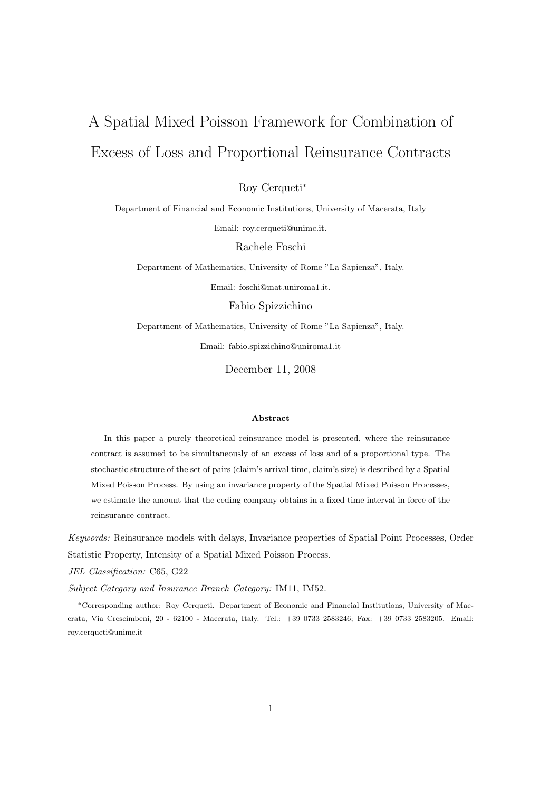# A Spatial Mixed Poisson Framework for Combination of Excess of Loss and Proportional Reinsurance Contracts

Roy Cerqueti<sup>∗</sup>

Department of Financial and Economic Institutions, University of Macerata, Italy

Email: roy.cerqueti@unimc.it.

Rachele Foschi

Department of Mathematics, University of Rome "La Sapienza", Italy.

Email: foschi@mat.uniroma1.it.

Fabio Spizzichino

Department of Mathematics, University of Rome "La Sapienza", Italy. Email: fabio.spizzichino@uniroma1.it

December 11, 2008

#### Abstract

In this paper a purely theoretical reinsurance model is presented, where the reinsurance contract is assumed to be simultaneously of an excess of loss and of a proportional type. The stochastic structure of the set of pairs (claim's arrival time, claim's size) is described by a Spatial Mixed Poisson Process. By using an invariance property of the Spatial Mixed Poisson Processes, we estimate the amount that the ceding company obtains in a fixed time interval in force of the reinsurance contract.

Keywords: Reinsurance models with delays, Invariance properties of Spatial Point Processes, Order Statistic Property, Intensity of a Spatial Mixed Poisson Process.

JEL Classification: C65, G22

Subject Category and Insurance Branch Category: IM11, IM52.

<sup>∗</sup>Corresponding author: Roy Cerqueti. Department of Economic and Financial Institutions, University of Macerata, Via Crescimbeni, 20 - 62100 - Macerata, Italy. Tel.: +39 0733 2583246; Fax: +39 0733 2583205. Email: roy.cerqueti@unimc.it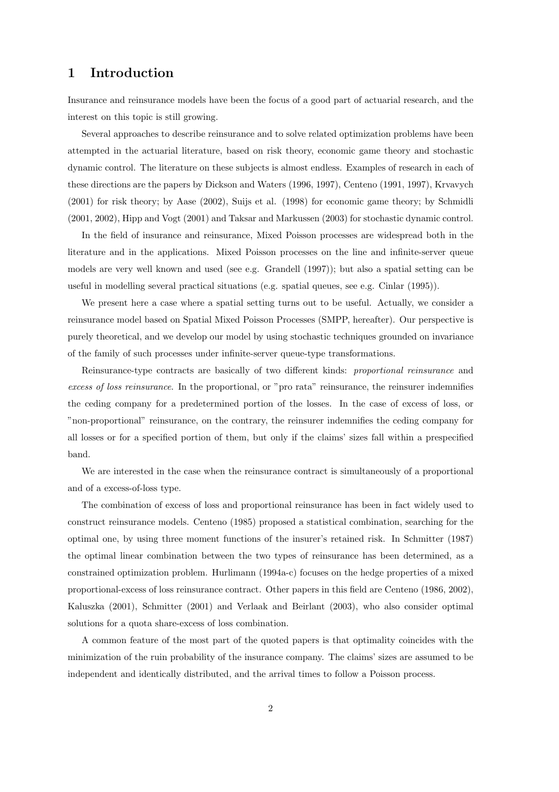## 1 Introduction

Insurance and reinsurance models have been the focus of a good part of actuarial research, and the interest on this topic is still growing.

Several approaches to describe reinsurance and to solve related optimization problems have been attempted in the actuarial literature, based on risk theory, economic game theory and stochastic dynamic control. The literature on these subjects is almost endless. Examples of research in each of these directions are the papers by Dickson and Waters (1996, 1997), Centeno (1991, 1997), Krvavych (2001) for risk theory; by Aase (2002), Suijs et al. (1998) for economic game theory; by Schmidli (2001, 2002), Hipp and Vogt (2001) and Taksar and Markussen (2003) for stochastic dynamic control.

In the field of insurance and reinsurance, Mixed Poisson processes are widespread both in the literature and in the applications. Mixed Poisson processes on the line and infinite-server queue models are very well known and used (see e.g. Grandell (1997)); but also a spatial setting can be useful in modelling several practical situations (e.g. spatial queues, see e.g. Cinlar (1995)).

We present here a case where a spatial setting turns out to be useful. Actually, we consider a reinsurance model based on Spatial Mixed Poisson Processes (SMPP, hereafter). Our perspective is purely theoretical, and we develop our model by using stochastic techniques grounded on invariance of the family of such processes under infinite-server queue-type transformations.

Reinsurance-type contracts are basically of two different kinds: proportional reinsurance and excess of loss reinsurance. In the proportional, or "pro rata" reinsurance, the reinsurer indemnifies the ceding company for a predetermined portion of the losses. In the case of excess of loss, or "non-proportional" reinsurance, on the contrary, the reinsurer indemnifies the ceding company for all losses or for a specified portion of them, but only if the claims' sizes fall within a prespecified band.

We are interested in the case when the reinsurance contract is simultaneously of a proportional and of a excess-of-loss type.

The combination of excess of loss and proportional reinsurance has been in fact widely used to construct reinsurance models. Centeno (1985) proposed a statistical combination, searching for the optimal one, by using three moment functions of the insurer's retained risk. In Schmitter (1987) the optimal linear combination between the two types of reinsurance has been determined, as a constrained optimization problem. Hurlimann (1994a-c) focuses on the hedge properties of a mixed proportional-excess of loss reinsurance contract. Other papers in this field are Centeno (1986, 2002), Kaluszka (2001), Schmitter (2001) and Verlaak and Beirlant (2003), who also consider optimal solutions for a quota share-excess of loss combination.

A common feature of the most part of the quoted papers is that optimality coincides with the minimization of the ruin probability of the insurance company. The claims' sizes are assumed to be independent and identically distributed, and the arrival times to follow a Poisson process.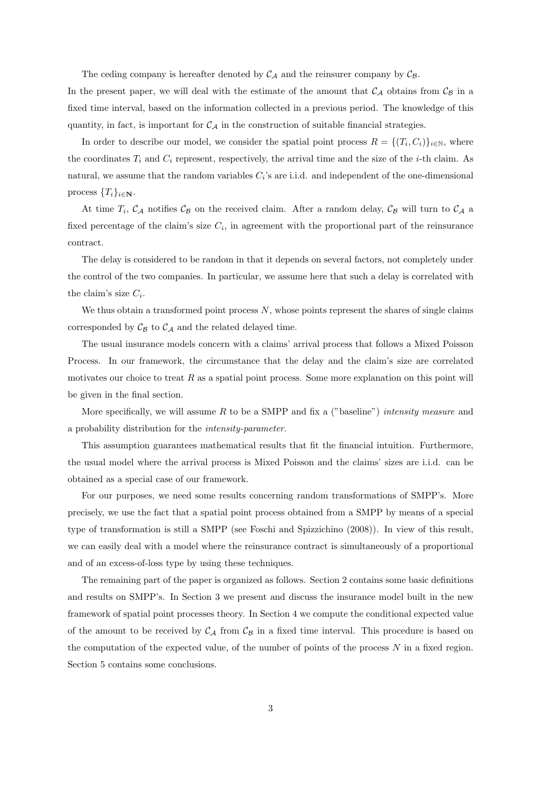The ceding company is hereafter denoted by  $C_A$  and the reinsurer company by  $C_B$ .

In the present paper, we will deal with the estimate of the amount that  $\mathcal{C}_{\mathcal{A}}$  obtains from  $\mathcal{C}_{\mathcal{B}}$  in a fixed time interval, based on the information collected in a previous period. The knowledge of this quantity, in fact, is important for  $\mathcal{C}_{\mathcal{A}}$  in the construction of suitable financial strategies.

In order to describe our model, we consider the spatial point process  $R = \{(T_i, C_i)\}_{i \in \mathbb{N}}$ , where the coordinates  $T_i$  and  $C_i$  represent, respectively, the arrival time and the size of the *i*-th claim. As natural, we assume that the random variables  $C_i$ 's are i.i.d. and independent of the one-dimensional process  $\{T_i\}_{i\in\mathbf{N}}$ .

At time  $T_i$ ,  $\mathcal{C}_{\mathcal{A}}$  notifies  $\mathcal{C}_{\mathcal{B}}$  on the received claim. After a random delay,  $\mathcal{C}_{\mathcal{B}}$  will turn to  $\mathcal{C}_{\mathcal{A}}$  a fixed percentage of the claim's size  $C_i$ , in agreement with the proportional part of the reinsurance contract.

The delay is considered to be random in that it depends on several factors, not completely under the control of the two companies. In particular, we assume here that such a delay is correlated with the claim's size  $C_i$ .

We thus obtain a transformed point process  $N$ , whose points represent the shares of single claims corresponded by  $\mathcal{C}_{\beta}$  to  $\mathcal{C}_{\mathcal{A}}$  and the related delayed time.

The usual insurance models concern with a claims' arrival process that follows a Mixed Poisson Process. In our framework, the circumstance that the delay and the claim's size are correlated motivates our choice to treat  $R$  as a spatial point process. Some more explanation on this point will be given in the final section.

More specifically, we will assume R to be a SMPP and fix a ("baseline") intensity measure and a probability distribution for the intensity-parameter.

This assumption guarantees mathematical results that fit the financial intuition. Furthermore, the usual model where the arrival process is Mixed Poisson and the claims' sizes are i.i.d. can be obtained as a special case of our framework.

For our purposes, we need some results concerning random transformations of SMPP's. More precisely, we use the fact that a spatial point process obtained from a SMPP by means of a special type of transformation is still a SMPP (see Foschi and Spizzichino (2008)). In view of this result, we can easily deal with a model where the reinsurance contract is simultaneously of a proportional and of an excess-of-loss type by using these techniques.

The remaining part of the paper is organized as follows. Section 2 contains some basic definitions and results on SMPP's. In Section 3 we present and discuss the insurance model built in the new framework of spatial point processes theory. In Section 4 we compute the conditional expected value of the amount to be received by  $C_A$  from  $C_B$  in a fixed time interval. This procedure is based on the computation of the expected value, of the number of points of the process  $N$  in a fixed region. Section 5 contains some conclusions.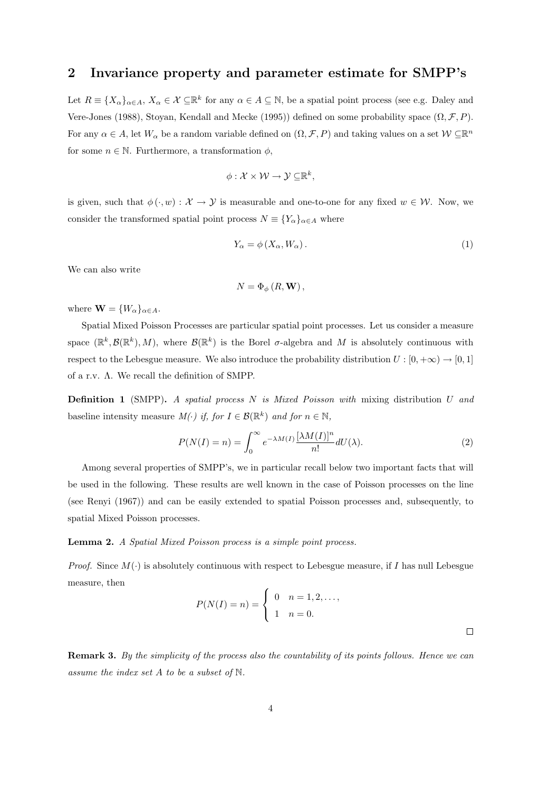## 2 Invariance property and parameter estimate for SMPP's

Let  $R \equiv \{X_{\alpha}\}_{{\alpha \in A}}, X_{\alpha} \in \mathcal{X} \subseteq \mathbb{R}^k$  for any  ${\alpha \in A \subseteq \mathbb{N}},$  be a spatial point process (see e.g. Daley and Vere-Jones (1988), Stoyan, Kendall and Mecke (1995)) defined on some probability space  $(\Omega, \mathcal{F}, P)$ . For any  $\alpha \in A$ , let  $W_{\alpha}$  be a random variable defined on  $(\Omega, \mathcal{F}, P)$  and taking values on a set  $\mathcal{W} \subseteq \mathbb{R}^n$ for some  $n \in \mathbb{N}$ . Furthermore, a transformation  $\phi$ ,

$$
\phi: \mathcal{X} \times \mathcal{W} \to \mathcal{Y} \subseteq \mathbb{R}^k,
$$

is given, such that  $\phi(\cdot, w) : \mathcal{X} \to \mathcal{Y}$  is measurable and one-to-one for any fixed  $w \in \mathcal{W}$ . Now, we consider the transformed spatial point process  $N \equiv \{Y_{\alpha}\}_{{\alpha \in A}}$  where

$$
Y_{\alpha} = \phi\left(X_{\alpha}, W_{\alpha}\right). \tag{1}
$$

We can also write

$$
N=\Phi_{\phi}\left(R,\mathbf{W}\right),\,
$$

where  $\mathbf{W} = \{W_{\alpha}\}_{{\alpha} \in A}$ .

Spatial Mixed Poisson Processes are particular spatial point processes. Let us consider a measure space  $(\mathbb{R}^k, \mathcal{B}(\mathbb{R}^k), M)$ , where  $\mathcal{B}(\mathbb{R}^k)$  is the Borel  $\sigma$ -algebra and M is absolutely continuous with respect to the Lebesgue measure. We also introduce the probability distribution  $U : [0, +\infty) \to [0, 1]$ of a r.v. Λ. We recall the definition of SMPP.

**Definition 1** (SMPP). A spatial process  $N$  is Mixed Poisson with mixing distribution  $U$  and baseline intensity measure  $M(\cdot)$  if, for  $I \in \mathcal{B}(\mathbb{R}^k)$  and for  $n \in \mathbb{N}$ ,

$$
P(N(I) = n) = \int_0^\infty e^{-\lambda M(I)} \frac{[\lambda M(I)]^n}{n!} dU(\lambda).
$$
 (2)

Among several properties of SMPP's, we in particular recall below two important facts that will be used in the following. These results are well known in the case of Poisson processes on the line (see Renyi (1967)) and can be easily extended to spatial Poisson processes and, subsequently, to spatial Mixed Poisson processes.

#### Lemma 2. A Spatial Mixed Poisson process is a simple point process.

*Proof.* Since  $M(\cdot)$  is absolutely continuous with respect to Lebesgue measure, if I has null Lebesgue measure, then  $\overline{a}$ 

$$
P(N(I) = n) = \begin{cases} 0 & n = 1, 2, ..., \\ 1 & n = 0. \end{cases}
$$

 $\Box$ 

Remark 3. By the simplicity of the process also the countability of its points follows. Hence we can assume the index set A to be a subset of N.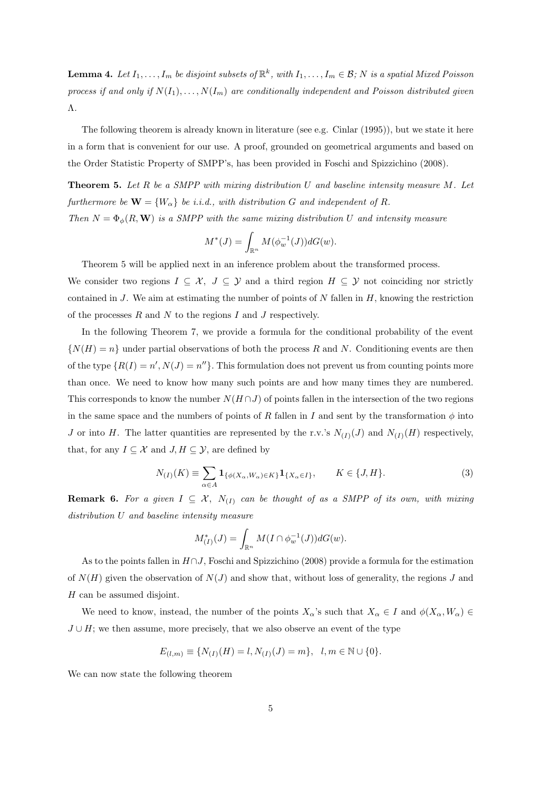**Lemma 4.** Let  $I_1, \ldots, I_m$  be disjoint subsets of  $\mathbb{R}^k$ , with  $I_1, \ldots, I_m \in \mathcal{B}$ ; N is a spatial Mixed Poisson process if and only if  $N(I_1), \ldots, N(I_m)$  are conditionally independent and Poisson distributed given Λ.

The following theorem is already known in literature (see e.g. Cinlar (1995)), but we state it here in a form that is convenient for our use. A proof, grounded on geometrical arguments and based on the Order Statistic Property of SMPP's, has been provided in Foschi and Spizzichino (2008).

**Theorem 5.** Let R be a SMPP with mixing distribution U and baseline intensity measure M. Let furthermore be  $\mathbf{W} = \{W_{\alpha}\}\$ be i.i.d., with distribution G and independent of R. Then  $N = \Phi_{\phi}(R, \mathbf{W})$  is a SMPP with the same mixing distribution U and intensity measure

$$
M^*(J) = \int_{\mathbb{R}^n} M(\phi_w^{-1}(J)) dG(w).
$$

Theorem 5 will be applied next in an inference problem about the transformed process.

We consider two regions  $I \subseteq \mathcal{X}, J \subseteq \mathcal{Y}$  and a third region  $H \subseteq \mathcal{Y}$  not coinciding nor strictly contained in J. We aim at estimating the number of points of N fallen in  $H$ , knowing the restriction of the processes  $R$  and  $N$  to the regions  $I$  and  $J$  respectively.

In the following Theorem 7, we provide a formula for the conditional probability of the event  $\{N(H) = n\}$  under partial observations of both the process R and N. Conditioning events are then of the type  $\{R(I) = n', N(J) = n''\}$ . This formulation does not prevent us from counting points more than once. We need to know how many such points are and how many times they are numbered. This corresponds to know the number  $N(H \cap J)$  of points fallen in the intersection of the two regions in the same space and the numbers of points of R fallen in I and sent by the transformation  $\phi$  into J or into H. The latter quantities are represented by the r.v.'s  $N_{(I)}(J)$  and  $N_{(I)}(H)$  respectively, that, for any  $I \subseteq \mathcal{X}$  and  $J, H \subseteq \mathcal{Y}$ , are defined by

$$
N_{(I)}(K) \equiv \sum_{\alpha \in A} \mathbf{1}_{\{\phi(X_{\alpha}, W_{\alpha}) \in K\}} \mathbf{1}_{\{X_{\alpha} \in I\}}, \qquad K \in \{J, H\}.
$$
 (3)

**Remark 6.** For a given  $I \subseteq \mathcal{X}$ ,  $N_{(I)}$  can be thought of as a SMPP of its own, with mixing distribution U and baseline intensity measure

$$
M_{(I)}^*(J) = \int_{\mathbb{R}^n} M(I \cap \phi_w^{-1}(J)) dG(w).
$$

As to the points fallen in  $H\cap J$ , Foschi and Spizzichino (2008) provide a formula for the estimation of  $N(H)$  given the observation of  $N(J)$  and show that, without loss of generality, the regions J and H can be assumed disjoint.

We need to know, instead, the number of the points  $X_\alpha$ 's such that  $X_\alpha \in I$  and  $\phi(X_\alpha, W_\alpha) \in$  $J \cup H$ ; we then assume, more precisely, that we also observe an event of the type

$$
E_{(l,m)}\equiv \{N_{(I)}(H)=l, N_{(I)}(J)=m\},\ \ l,m\in\mathbb{N}\cup\{0\}.
$$

We can now state the following theorem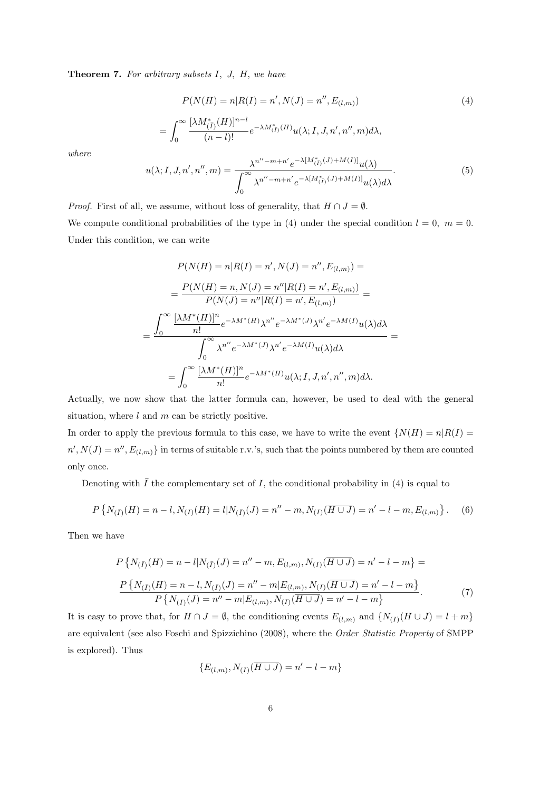Theorem 7. For arbitrary subsets I, J, H, we have

$$
P(N(H) = n|R(I) = n', N(J) = n'', E_{(l,m)})
$$
\n
$$
= \int_0^\infty \frac{[\lambda M_{(\bar{I})}^*(H)]^{n-l}}{(n-l)!} e^{-\lambda M_{(\bar{I})}^*(H)} u(\lambda; I, J, n', n'', m) d\lambda,
$$
\n(4)

where

$$
u(\lambda; I, J, n', n'', m) = \frac{\lambda^{n'' - m + n'} e^{-\lambda [M_{(I)}^*(J) + M(I)]} u(\lambda)}{\int_0^\infty \lambda^{n'' - m + n'} e^{-\lambda [M_{(I)}^*(J) + M(I)]} u(\lambda) d\lambda}.
$$
(5)

*Proof.* First of all, we assume, without loss of generality, that  $H \cap J = \emptyset$ . We compute conditional probabilities of the type in (4) under the special condition  $l = 0, m = 0$ . Under this condition, we can write

$$
P(N(H) = n|R(I) = n', N(J) = n'', E_{(l,m)}) =
$$
  
= 
$$
\frac{P(N(H) = n, N(J) = n''|R(I) = n', E_{(l,m)})}{P(N(J) = n''|R(I) = n', E_{(l,m)})} =
$$
  
= 
$$
\frac{\int_{0}^{\infty} \frac{[\lambda M^{*}(H)]^{n}}{n!} e^{-\lambda M^{*}(H)} \lambda^{n''} e^{-\lambda M^{*}(J)} \lambda^{n'} e^{-\lambda M(I)} u(\lambda) d\lambda}{\int_{0}^{\infty} \lambda^{n''} e^{-\lambda M^{*}(J)} \lambda^{n'} e^{-\lambda M(I)} u(\lambda) d\lambda} =
$$
  
= 
$$
\int_{0}^{\infty} \frac{[\lambda M^{*}(H)]^{n}}{n!} e^{-\lambda M^{*}(H)} u(\lambda; I, J, n', n'', m) d\lambda.
$$

Actually, we now show that the latter formula can, however, be used to deal with the general situation, where  $l$  and  $m$  can be strictly positive.

In order to apply the previous formula to this case, we have to write the event  $\{N(H) = n | R(I) =$  $n', N(J) = n'', E_{(l,m)}$  in terms of suitable r.v.'s, such that the points numbered by them are counted only once.

Denoting with  $\overline{I}$  the complementary set of I, the conditional probability in (4) is equal to

$$
P\left\{N_{(\bar{I})}(H) = n - l, N_{(I)}(H) = l | N_{(\bar{I})}(J) = n'' - m, N_{(I)}(\overline{H \cup J}) = n' - l - m, E_{(l,m)}\right\}.
$$
 (6)

Then we have

$$
P\left\{N_{(\bar{I})}(H) = n - l|N_{(\bar{I})}(J) = n'' - m, E_{(l,m)}, N_{(I)}(\overline{H \cup J}) = n' - l - m\right\} =
$$
  

$$
\frac{P\left\{N_{(\bar{I})}(H) = n - l, N_{(\bar{I})}(J) = n'' - m|E_{(l,m)}, N_{(I)}(\overline{H \cup J}) = n' - l - m\right\}}{P\left\{N_{(\bar{I})}(J) = n'' - m|E_{(l,m)}, N_{(\bar{I})}(\overline{H \cup J}) = n' - l - m\right\}}.
$$
 (7)

It is easy to prove that, for  $H \cap J = \emptyset$ , the conditioning events  $E_{(l,m)}$  and  $\{N_{(I)}(H \cup J) = l + m\}$ are equivalent (see also Foschi and Spizzichino (2008), where the Order Statistic Property of SMPP is explored). Thus

$$
\{E_{(l,m)}, N_{(I)}(\overline{H \cup J}) = n' - l - m\}
$$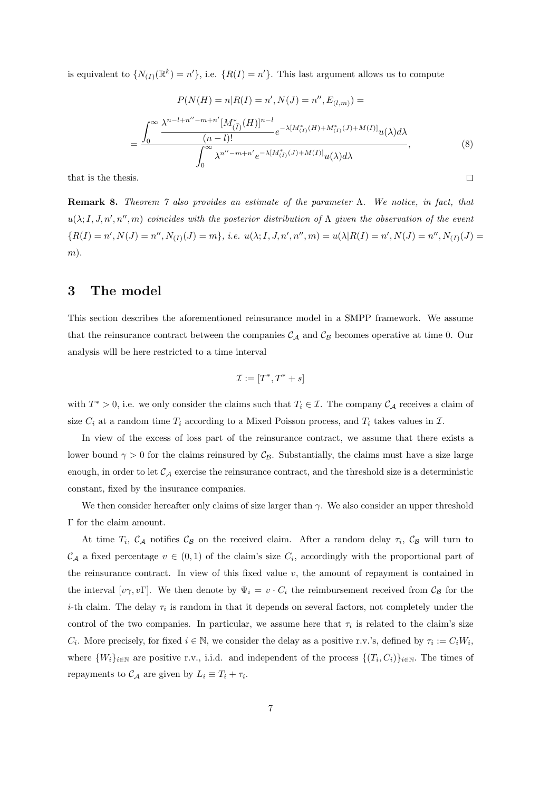is equivalent to  $\{N_{(I)}(\mathbb{R}^k) = n'\}$ , i.e.  $\{R(I) = n'\}$ . This last argument allows us to compute

$$
P(N(H) = n|R(I) = n', N(J) = n'', E_{(l,m)}) =
$$
\n
$$
= \frac{\int_0^\infty \frac{\lambda^{n-l+n''-m+n'}[M_{(\bar{I})}^*(H)]^{n-l}}{(n-l)!} e^{-\lambda[M_{(\bar{I})}^*(H) + M_{(\bar{I})}^*(J) + M(I)]} u(\lambda) d\lambda}{\int_0^\infty \lambda^{n''-m+n'} e^{-\lambda[M_{(\bar{I})}^*(J) + M(I)]} u(\lambda) d\lambda},
$$
\n(8)\n  
\nis.

that is the thesis.

Remark 8. Theorem 7 also provides an estimate of the parameter Λ. We notice, in fact, that  $u(\lambda; I, J, n', n'', m)$  coincides with the posterior distribution of  $\Lambda$  given the observation of the event  ${R(I) = n', N(J) = n'', N_{(I)}(J) = m}, i.e. u(\lambda; I, J, n', n'', m) = u(\lambda | R(I) = n', N(J) = n'', N_{(I)}(J) = m$  $m$ ).

#### 3 The model

This section describes the aforementioned reinsurance model in a SMPP framework. We assume that the reinsurance contract between the companies  $\mathcal{C}_{\mathcal{A}}$  and  $\mathcal{C}_{\mathcal{B}}$  becomes operative at time 0. Our analysis will be here restricted to a time interval

$$
\mathcal{I} := [T^*, T^* + s]
$$

with  $T^* > 0$ , i.e. we only consider the claims such that  $T_i \in \mathcal{I}$ . The company  $\mathcal{C}_{\mathcal{A}}$  receives a claim of size  $C_i$  at a random time  $T_i$  according to a Mixed Poisson process, and  $T_i$  takes values in  $\mathcal{I}$ .

In view of the excess of loss part of the reinsurance contract, we assume that there exists a lower bound  $\gamma > 0$  for the claims reinsured by  $\mathcal{C}_{\mathcal{B}}$ . Substantially, the claims must have a size large enough, in order to let  $C_A$  exercise the reinsurance contract, and the threshold size is a deterministic constant, fixed by the insurance companies.

We then consider hereafter only claims of size larger than  $\gamma$ . We also consider an upper threshold Γ for the claim amount.

At time  $T_i$ ,  $\mathcal{C}_A$  notifies  $\mathcal{C}_B$  on the received claim. After a random delay  $\tau_i$ ,  $\mathcal{C}_B$  will turn to  $\mathcal{C}_{\mathcal{A}}$  a fixed percentage  $v \in (0,1)$  of the claim's size  $C_i$ , accordingly with the proportional part of the reinsurance contract. In view of this fixed value  $v$ , the amount of repayment is contained in the interval  $[v\gamma, v\Gamma]$ . We then denote by  $\Psi_i = v \cdot C_i$  the reimbursement received from  $C_B$  for the *i*-th claim. The delay  $\tau_i$  is random in that it depends on several factors, not completely under the control of the two companies. In particular, we assume here that  $\tau_i$  is related to the claim's size  $C_i$ . More precisely, for fixed  $i \in \mathbb{N}$ , we consider the delay as a positive r.v.'s, defined by  $\tau_i := C_i W_i$ , where  $\{W_i\}_{i\in\mathbb{N}}$  are positive r.v., i.i.d. and independent of the process  $\{(T_i, C_i)\}_{i\in\mathbb{N}}$ . The times of repayments to  $\mathcal{C}_{\mathcal{A}}$  are given by  $L_i \equiv T_i + \tau_i$ .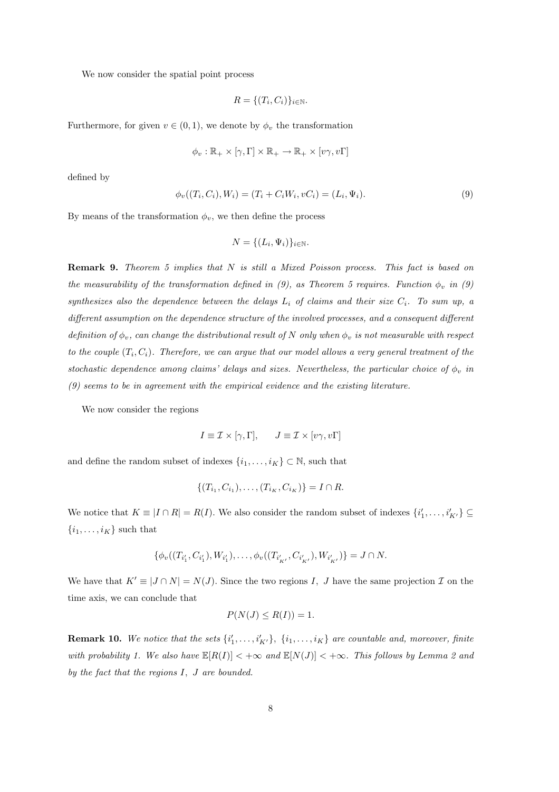We now consider the spatial point process

$$
R = \{ (T_i, C_i) \}_{i \in \mathbb{N}}.
$$

Furthermore, for given  $v \in (0, 1)$ , we denote by  $\phi_v$  the transformation

$$
\phi_v : \mathbb{R}_+ \times [\gamma, \Gamma] \times \mathbb{R}_+ \to \mathbb{R}_+ \times [v\gamma, v\Gamma]
$$

defined by

$$
\phi_v((T_i, C_i), W_i) = (T_i + C_i W_i, vC_i) = (L_i, \Psi_i). \tag{9}
$$

By means of the transformation  $\phi_v$ , we then define the process

$$
N = \{ (L_i, \Psi_i) \}_{i \in \mathbb{N}}.
$$

Remark 9. Theorem 5 implies that N is still a Mixed Poisson process. This fact is based on the measurability of the transformation defined in (9), as Theorem 5 requires. Function  $\phi_v$  in (9) synthesizes also the dependence between the delays  $L_i$  of claims and their size  $C_i$ . To sum up, a different assumption on the dependence structure of the involved processes, and a consequent different definition of  $\phi_v$ , can change the distributional result of N only when  $\phi_v$  is not measurable with respect to the couple  $(T_i, C_i)$ . Therefore, we can argue that our model allows a very general treatment of the stochastic dependence among claims' delays and sizes. Nevertheless, the particular choice of  $\phi_v$  in (9) seems to be in agreement with the empirical evidence and the existing literature.

We now consider the regions

$$
I \equiv \mathcal{I} \times [\gamma, \Gamma], \qquad J \equiv \mathcal{I} \times [v\gamma, v\Gamma]
$$

and define the random subset of indexes  $\{i_1, \ldots, i_K\} \subset \mathbb{N}$ , such that

$$
\{(T_{i_1}, C_{i_1}), \dots, (T_{i_K}, C_{i_K})\} = I \cap R.
$$

We notice that  $K \equiv |I \cap R| = R(I)$ . We also consider the random subset of indexes  $\{i'_1, \ldots, i'_{K'}\} \subseteq$  $\{i_1, \ldots, i_K\}$  such that

$$
\{\phi_v((T_{i'_1}, C_{i'_1}), W_{i'_1}), \ldots, \phi_v((T_{i'_{K'}}, C_{i'_{K'}}), W_{i'_{K'}})\} = J \cap N.
$$

We have that  $K' \equiv |J \cap N| = N(J)$ . Since the two regions I, J have the same projection I on the time axis, we can conclude that

$$
P(N(J) \le R(I)) = 1.
$$

**Remark 10.** We notice that the sets  $\{i'_1, \ldots, i'_{K'}\}$ ,  $\{i_1, \ldots, i_K\}$  are countable and, moreover, finite with probability 1. We also have  $\mathbb{E}[R(I)] < +\infty$  and  $\mathbb{E}[N(J)] < +\infty$ . This follows by Lemma 2 and by the fact that the regions I, J are bounded.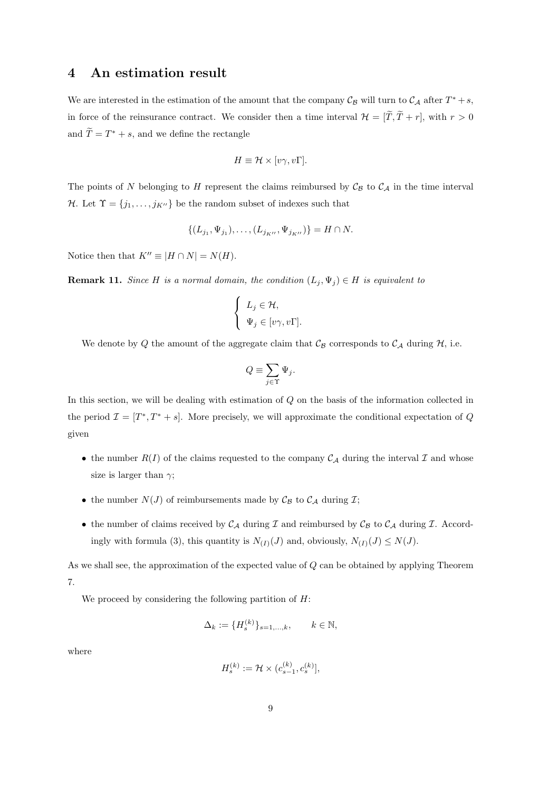#### 4 An estimation result

We are interested in the estimation of the amount that the company  $\mathcal{C}_{\mathcal{B}}$  will turn to  $\mathcal{C}_{\mathcal{A}}$  after  $T^* + s$ , in force of the reinsurance contract. We consider then a time interval  $\mathcal{H} = [\tilde{T}, \tilde{T} + r]$ , with  $r > 0$ and  $\widetilde{T} = T^* + s$ , and we define the rectangle

$$
H \equiv \mathcal{H} \times [v\gamma, v\Gamma].
$$

The points of N belonging to H represent the claims reimbursed by  $\mathcal{C}_{\mathcal{B}}$  to  $\mathcal{C}_{\mathcal{A}}$  in the time interval H. Let  $\Upsilon = \{j_1, \ldots, j_{K''}\}\$ be the random subset of indexes such that

$$
\{(L_{j_1}, \Psi_{j_1}), \dots, (L_{j_{K''}}, \Psi_{j_{K''}})\} = H \cap N.
$$

Notice then that  $K'' \equiv |H \cap N| = N(H)$ .

**Remark 11.** Since H is a normal domain, the condition  $(L_j, \Psi_j) \in H$  is equivalent to

$$
\begin{cases} L_j \in \mathcal{H}, \\ \Psi_j \in [v\gamma, v\Gamma]. \end{cases}
$$

We denote by Q the amount of the aggregate claim that  $\mathcal{C}_{\beta}$  corresponds to  $\mathcal{C}_{\mathcal{A}}$  during  $\mathcal{H}$ , i.e.

$$
Q \equiv \sum_{j \in \Upsilon} \Psi_j.
$$

In this section, we will be dealing with estimation of Q on the basis of the information collected in the period  $\mathcal{I} = [T^*, T^* + s]$ . More precisely, we will approximate the conditional expectation of Q given

- the number  $R(I)$  of the claims requested to the company  $C_A$  during the interval  $I$  and whose size is larger than  $\gamma$ ;
- the number  $N(J)$  of reimbursements made by  $\mathcal{C}_{\mathcal{B}}$  to  $\mathcal{C}_{\mathcal{A}}$  during  $\mathcal{I};$
- the number of claims received by  $\mathcal{C}_{\mathcal{A}}$  during  $\mathcal I$  and reimbursed by  $\mathcal{C}_{\mathcal{B}}$  to  $\mathcal{C}_{\mathcal{A}}$  during  $\mathcal I$ . Accordingly with formula (3), this quantity is  $N_{(I)}(J)$  and, obviously,  $N_{(I)}(J) \leq N(J)$ .

As we shall see, the approximation of the expected value of Q can be obtained by applying Theorem 7.

We proceed by considering the following partition of  $H$ :

$$
\Delta_k := \{H_s^{(k)}\}_{s=1,\ldots,k}, \qquad k \in \mathbb{N},
$$

where

$$
H_s^{(k)} := \mathcal{H} \times (c_{s-1}^{(k)}, c_s^{(k)}],
$$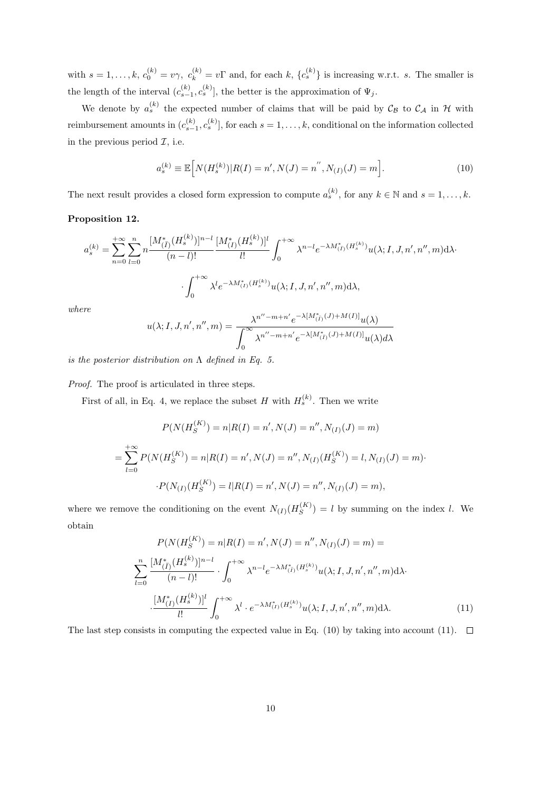with  $s = 1, \ldots, k, c_0^{(k)} = v\gamma, c_k^{(k)} = v\Gamma$  and, for each  $k, \{c_s^{(k)}\}$  is increasing w.r.t. s. The smaller is the length of the interval  $(c_{s-1}^{(k)}, c_s^{(k)}]$ , the better is the approximation of  $\Psi_j$ .

We denote by  $a_s^{(k)}$  the expected number of claims that will be paid by  $\mathcal{C}_{\mathcal{B}}$  to  $\mathcal{C}_{\mathcal{A}}$  in H with reimbursement amounts in  $(c_{s-1}^{(k)}, c_s^{(k)}]$ , for each  $s = 1, \ldots, k$ , conditional on the information collected in the previous period  $\mathcal{I}$ , i.e.

$$
a_s^{(k)} \equiv \mathbb{E}\Big[N(H_s^{(k)})|R(I) = n', N(J) = n'', N_{(I)}(J) = m\Big].\tag{10}
$$

The next result provides a closed form expression to compute  $a_s^{(k)}$ , for any  $k \in \mathbb{N}$  and  $s = 1, \ldots, k$ .

#### Proposition 12.

$$
a_s^{(k)} = \sum_{n=0}^{+\infty} \sum_{l=0}^n n \frac{[M_{(\tilde{I})}^*(H_s^{(k)})]^{n-l}}{(n-l)!} \frac{[M_{(I)}^*(H_s^{(k)})]^l}{l!} \int_0^{+\infty} \lambda^{n-l} e^{-\lambda M_{(\tilde{I})}^*(H_s^{(k)})} u(\lambda; I, J, n', n'', m) d\lambda
$$

$$
\int_0^{+\infty} \lambda^l e^{-\lambda M_{(I)}^*(H_s^{(k)})} u(\lambda; I, J, n', n'', m) d\lambda,
$$
*ere*
$$
\lambda^{n''-m+n'} e^{-\lambda [M_{(I)}^*(J)+M(I)]} u(\lambda)
$$

 $wh$ 

$$
u(\lambda; I, J, n', n'', m) = \frac{\lambda^{n'' - m + n'} e^{-\lambda [M_{(\bar{I})}^*(J) + M(I)]} u(\lambda)}{\int_0^\infty \lambda^{n'' - m + n'} e^{-\lambda [M_{(\bar{I})}^*(J) + M(I)]} u(\lambda) d\lambda}
$$

is the posterior distribution on  $\Lambda$  defined in Eq. 5.

Proof. The proof is articulated in three steps.

First of all, in Eq. 4, we replace the subset H with  $H_s^{(k)}$ . Then we write

$$
P(N(H_S^{(K)}) = n | R(I) = n', N(J) = n'', N_{(I)}(J) = m)
$$
  
= 
$$
\sum_{l=0}^{+\infty} P(N(H_S^{(K)}) = n | R(I) = n', N(J) = n'', N_{(I)}(H_S^{(K)}) = l, N_{(I)}(J) = m)
$$
  

$$
\cdot P(N_{(I)}(H_S^{(K)}) = l | R(I) = n', N(J) = n'', N_{(I)}(J) = m),
$$

where we remove the conditioning on the event  $N_{(I)}(H_S^{(K)})$  $S^{(K)}$  = l by summing on the index l. We obtain

$$
P(N(H_S^{(K)}) = n | R(I) = n', N(J) = n'', N_{(I)}(J) = m) =
$$
  

$$
\sum_{l=0}^{n} \frac{[M_{(\bar{I})}^*(H_s^{(k)})]^{n-l}}{(n-l)!} \cdot \int_0^{+\infty} \lambda^{n-l} e^{-\lambda M_{(\bar{I})}^*(H_s^{(k)})} u(\lambda; I, J, n', n'', m) d\lambda
$$
  

$$
\cdot \frac{[M_{(I)}^*(H_s^{(k)})]^l}{l!} \int_0^{+\infty} \lambda^l \cdot e^{-\lambda M_{(I)}^*(H_s^{(k)})} u(\lambda; I, J, n', n'', m) d\lambda.
$$
 (11)

The last step consists in computing the expected value in Eq. (10) by taking into account (11).  $\Box$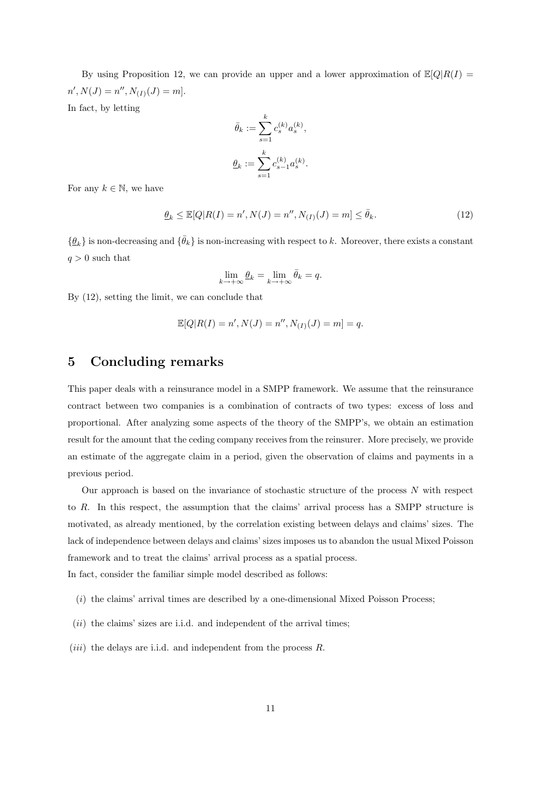By using Proposition 12, we can provide an upper and a lower approximation of  $\mathbb{E}[Q|R(I)]$  $n', N(J) = n'', N_{(I)}(J) = m].$ In fact, by letting

$$
\begin{aligned} \bar{\theta}_k &:= \sum_{s=1}^k c_s^{(k)} a_s^{(k)}, \\ \underline{\theta}_k &:= \sum_{s=1}^k c_{s-1}^{(k)} a_s^{(k)}. \end{aligned}
$$

For any  $k \in \mathbb{N}$ , we have

$$
\underline{\theta}_k \le \mathbb{E}[Q|R(I) = n', N(J) = n'', N_{(I)}(J) = m] \le \bar{\theta}_k. \tag{12}
$$

 $\{\hat{\theta}_k\}$  is non-decreasing and  $\{\bar{\theta}_k\}$  is non-increasing with respect to k. Moreover, there exists a constant  $q > 0$  such that

$$
\lim_{k \to +\infty} \underline{\theta}_k = \lim_{k \to +\infty} \overline{\theta}_k = q.
$$

By (12), setting the limit, we can conclude that

$$
\mathbb{E}[Q|R(I) = n', N(J) = n'', N_{(I)}(J) = m] = q.
$$

## 5 Concluding remarks

This paper deals with a reinsurance model in a SMPP framework. We assume that the reinsurance contract between two companies is a combination of contracts of two types: excess of loss and proportional. After analyzing some aspects of the theory of the SMPP's, we obtain an estimation result for the amount that the ceding company receives from the reinsurer. More precisely, we provide an estimate of the aggregate claim in a period, given the observation of claims and payments in a previous period.

Our approach is based on the invariance of stochastic structure of the process  $N$  with respect to R. In this respect, the assumption that the claims' arrival process has a SMPP structure is motivated, as already mentioned, by the correlation existing between delays and claims' sizes. The lack of independence between delays and claims' sizes imposes us to abandon the usual Mixed Poisson framework and to treat the claims' arrival process as a spatial process. In fact, consider the familiar simple model described as follows:

- $(i)$  the claims' arrival times are described by a one-dimensional Mixed Poisson Process;
- $(ii)$  the claims' sizes are i.i.d. and independent of the arrival times;
- (*iii*) the delays are i.i.d. and independent from the process  $R$ .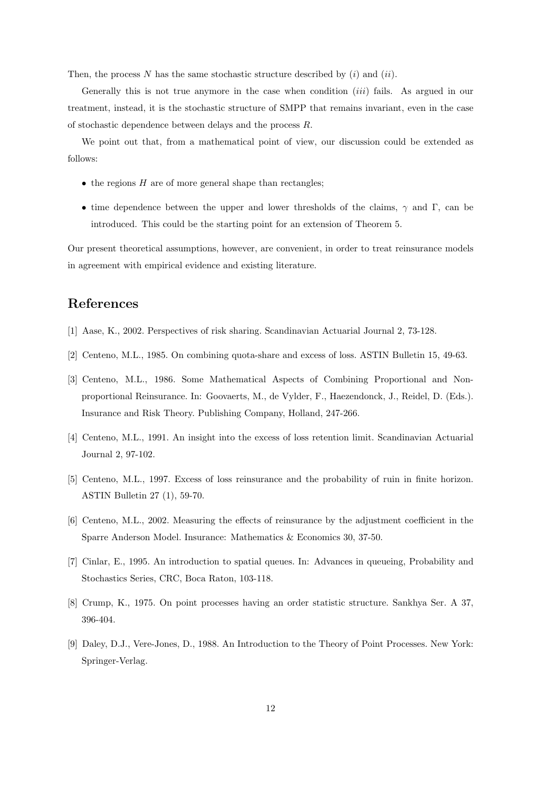Then, the process N has the same stochastic structure described by  $(i)$  and  $(ii)$ .

Generally this is not true anymore in the case when condition *(iii)* fails. As argued in our treatment, instead, it is the stochastic structure of SMPP that remains invariant, even in the case of stochastic dependence between delays and the process R.

We point out that, from a mathematical point of view, our discussion could be extended as follows:

- $\bullet$  the regions  $H$  are of more general shape than rectangles;
- time dependence between the upper and lower thresholds of the claims,  $\gamma$  and Γ, can be introduced. This could be the starting point for an extension of Theorem 5.

Our present theoretical assumptions, however, are convenient, in order to treat reinsurance models in agreement with empirical evidence and existing literature.

## References

- [1] Aase, K., 2002. Perspectives of risk sharing. Scandinavian Actuarial Journal 2, 73-128.
- [2] Centeno, M.L., 1985. On combining quota-share and excess of loss. ASTIN Bulletin 15, 49-63.
- [3] Centeno, M.L., 1986. Some Mathematical Aspects of Combining Proportional and Nonproportional Reinsurance. In: Goovaerts, M., de Vylder, F., Haezendonck, J., Reidel, D. (Eds.). Insurance and Risk Theory. Publishing Company, Holland, 247-266.
- [4] Centeno, M.L., 1991. An insight into the excess of loss retention limit. Scandinavian Actuarial Journal 2, 97-102.
- [5] Centeno, M.L., 1997. Excess of loss reinsurance and the probability of ruin in finite horizon. ASTIN Bulletin 27 (1), 59-70.
- [6] Centeno, M.L., 2002. Measuring the effects of reinsurance by the adjustment coefficient in the Sparre Anderson Model. Insurance: Mathematics & Economics 30, 37-50.
- [7] Cinlar, E., 1995. An introduction to spatial queues. In: Advances in queueing, Probability and Stochastics Series, CRC, Boca Raton, 103-118.
- [8] Crump, K., 1975. On point processes having an order statistic structure. Sankhya Ser. A 37, 396-404.
- [9] Daley, D.J., Vere-Jones, D., 1988. An Introduction to the Theory of Point Processes. New York: Springer-Verlag.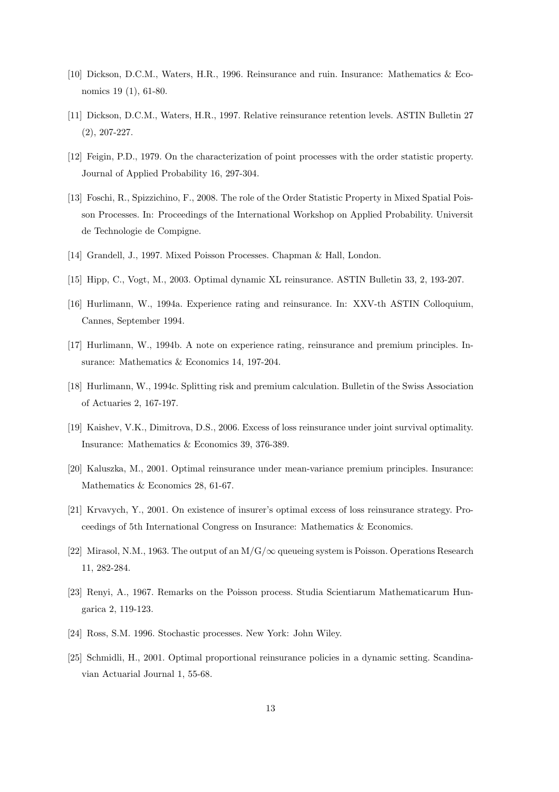- [10] Dickson, D.C.M., Waters, H.R., 1996. Reinsurance and ruin. Insurance: Mathematics & Economics 19 (1), 61-80.
- [11] Dickson, D.C.M., Waters, H.R., 1997. Relative reinsurance retention levels. ASTIN Bulletin 27 (2), 207-227.
- [12] Feigin, P.D., 1979. On the characterization of point processes with the order statistic property. Journal of Applied Probability 16, 297-304.
- [13] Foschi, R., Spizzichino, F., 2008. The role of the Order Statistic Property in Mixed Spatial Poisson Processes. In: Proceedings of the International Workshop on Applied Probability. Universit de Technologie de Compigne.
- [14] Grandell, J., 1997. Mixed Poisson Processes. Chapman & Hall, London.
- [15] Hipp, C., Vogt, M., 2003. Optimal dynamic XL reinsurance. ASTIN Bulletin 33, 2, 193-207.
- [16] Hurlimann, W., 1994a. Experience rating and reinsurance. In: XXV-th ASTIN Colloquium, Cannes, September 1994.
- [17] Hurlimann, W., 1994b. A note on experience rating, reinsurance and premium principles. Insurance: Mathematics & Economics 14, 197-204.
- [18] Hurlimann, W., 1994c. Splitting risk and premium calculation. Bulletin of the Swiss Association of Actuaries 2, 167-197.
- [19] Kaishev, V.K., Dimitrova, D.S., 2006. Excess of loss reinsurance under joint survival optimality. Insurance: Mathematics & Economics 39, 376-389.
- [20] Kaluszka, M., 2001. Optimal reinsurance under mean-variance premium principles. Insurance: Mathematics & Economics 28, 61-67.
- [21] Krvavych, Y., 2001. On existence of insurer's optimal excess of loss reinsurance strategy. Proceedings of 5th International Congress on Insurance: Mathematics & Economics.
- [22] Mirasol, N.M., 1963. The output of an  $M/G/\infty$  queueing system is Poisson. Operations Research 11, 282-284.
- [23] Renyi, A., 1967. Remarks on the Poisson process. Studia Scientiarum Mathematicarum Hungarica 2, 119-123.
- [24] Ross, S.M. 1996. Stochastic processes. New York: John Wiley.
- [25] Schmidli, H., 2001. Optimal proportional reinsurance policies in a dynamic setting. Scandinavian Actuarial Journal 1, 55-68.